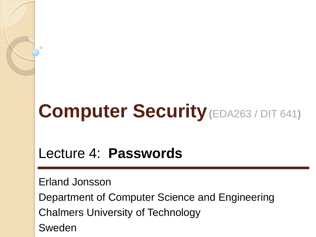# **Computer Security(**EDA263 / DIT 641**)**

### Lecture 4: **Passwords**

Erland Jonsson

Department of Computer Science and Engineering Chalmers University of Technology Sweden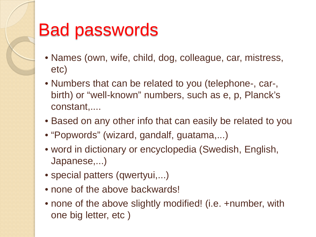## Bad passwords

- Names (own, wife, child, dog, colleague, car, mistress, etc)
- Numbers that can be related to you (telephone-, car-, birth) or "well-known" numbers, such as e, p, Planck's constant,....
- Based on any other info that can easily be related to you
- "Popwords" (wizard, gandalf, guatama,...)
- word in dictionary or encyclopedia (Swedish, English, Japanese,...)
- special patters (qwertyui,...)
- none of the above backwards!
- none of the above slightly modified! (i.e. +number, with one big letter, etc )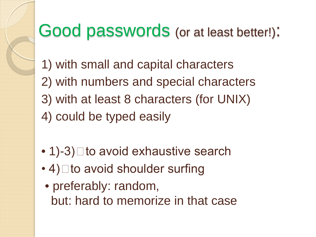## Good passwords (or at least better!):

- 1) with small and capital characters 2) with numbers and special characters 3) with at least 8 characters (for UNIX) 4) could be typed easily
- $\bullet$  1)-3)  $\Box$  to avoid exhaustive search
- $\cdot$  4)  $\Box$  to avoid shoulder surfing
- preferably: random, but: hard to memorize in that case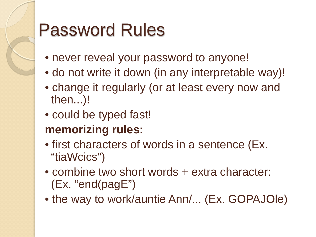# Password Rules

- never reveal your password to anyone!
- do not write it down (in any interpretable way)!
- change it regularly (or at least every now and then...)!
- could be typed fast!

#### **memorizing rules:**

- first characters of words in a sentence (Ex. "tiaWcics")
- combine two short words + extra character: (Ex. "end(pagE")
- the way to work/auntie Ann/... (Ex. GOPAJOle)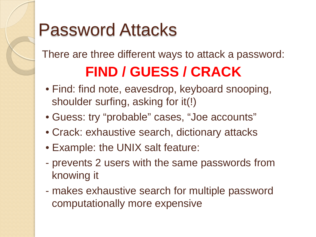# Password Attacks

There are three different ways to attack a password:

## **FIND / GUESS / CRACK**

- Find: find note, eavesdrop, keyboard snooping, shoulder surfing, asking for it(!)
- Guess: try "probable" cases, "Joe accounts"
- Crack: exhaustive search, dictionary attacks
- Example: the UNIX salt feature:
- prevents 2 users with the same passwords from knowing it
- makes exhaustive search for multiple password computationally more expensive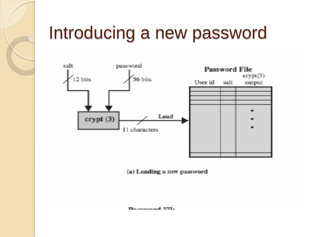# Introducing a new password



(a) Loading a new password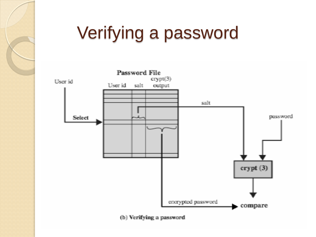# Verifying a password

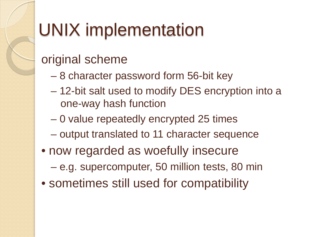# UNIX implementation

### original scheme

- 8 character password form 56-bit key
- 12-bit salt used to modify DES encryption into a one-way hash function
- 0 value repeatedly encrypted 25 times
- output translated to 11 character sequence
- now regarded as woefully insecure
	- e.g. supercomputer, 50 million tests, 80 min
- sometimes still used for compatibility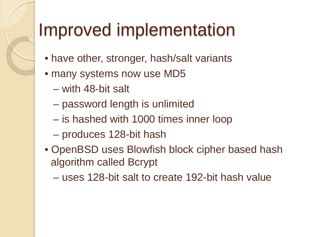# Improved implementation

- have other, stronger, hash/salt variants
- many systems now use MD5
	- with 48-bit salt
	- password length is unlimited
	- is hashed with 1000 times inner loop
	- produces 128-bit hash
- OpenBSD uses Blowfish block cipher based hash algorithm called Bcrypt
	- uses 128-bit salt to create 192-bit hash value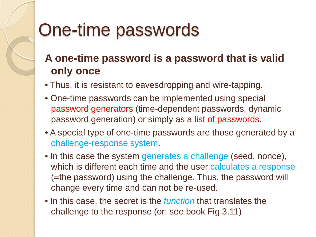# One-time passwords

#### **A one-time password is a password that is valid only once**

- Thus, it is resistant to eavesdropping and wire-tapping.
- One-time passwords can be implemented using special password generators (time-dependent passwords, dynamic password generation) or simply as a list of passwords.
- A special type of one-time passwords are those generated by a challenge-response system.
- In this case the system generates a challenge (seed, nonce), which is different each time and the user calculates a response (=the password) using the challenge. Thus, the password will change every time and can not be re-used.
- In this case, the secret is the *function* that translates the challenge to the response (or: see book Fig 3.11)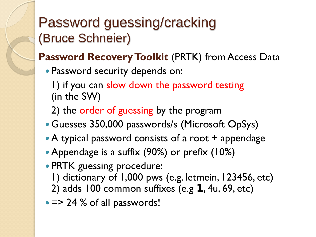## Password guessing/cracking (Bruce Schneier)

#### **Password Recovery Toolkit** (PRTK) from Access Data

Password security depends on:

1) if you can slow down the password testing (in the SW)

2) the order of guessing by the program

- Guesses 350,000 passwords/s (Microsoft OpSys)
- A typical password consists of a root + appendage
- Appendage is a suffix (90%) or prefix (10%)
- PRTK guessing procedure:
	- 1) dictionary of 1,000 pws (e.g. letmein, 123456, etc)
	- 2) adds 100 common suffixes (e.g  $1, 4u, 69,$  etc)
- = > 24 % of all passwords!